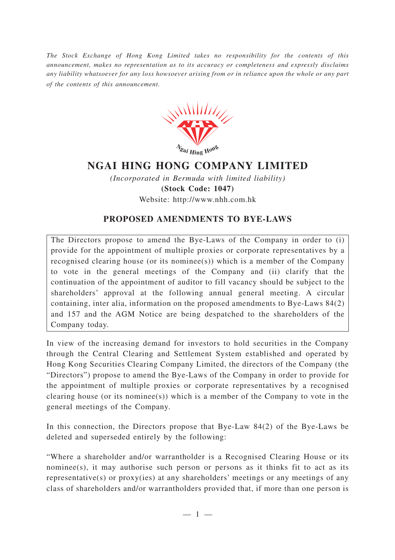*The Stock Exchange of Hong Kong Limited takes no responsibility for the contents of this announcement, makes no representation as to its accuracy or completeness and expressly disclaims any liability whatsoever for any loss howsoever arising from or in reliance upon the whole or any part of the contents of this announcement.*



## **NGAI HING HONG COMPANY LIMITED**

*(Incorporated in Bermuda with limited liability)* **(Stock Code: 1047)** Website: http://www.nhh.com.hk

## **PROPOSED AMENDMENTS TO BYE-LAWS**

The Directors propose to amend the Bye-Laws of the Company in order to (i) provide for the appointment of multiple proxies or corporate representatives by a recognised clearing house (or its nominee(s)) which is a member of the Company to vote in the general meetings of the Company and (ii) clarify that the continuation of the appointment of auditor to fill vacancy should be subject to the shareholders' approval at the following annual general meeting. A circular containing, inter alia, information on the proposed amendments to Bye-Laws 84(2) and 157 and the AGM Notice are being despatched to the shareholders of the Company today.

In view of the increasing demand for investors to hold securities in the Company through the Central Clearing and Settlement System established and operated by Hong Kong Securities Clearing Company Limited, the directors of the Company (the "Directors") propose to amend the Bye-Laws of the Company in order to provide for the appointment of multiple proxies or corporate representatives by a recognised clearing house (or its nominee(s)) which is a member of the Company to vote in the general meetings of the Company.

In this connection, the Directors propose that Bye-Law 84(2) of the Bye-Laws be deleted and superseded entirely by the following:

"Where a shareholder and/or warrantholder is a Recognised Clearing House or its nominee(s), it may authorise such person or persons as it thinks fit to act as its representative(s) or proxy(ies) at any shareholders' meetings or any meetings of any class of shareholders and/or warrantholders provided that, if more than one person is